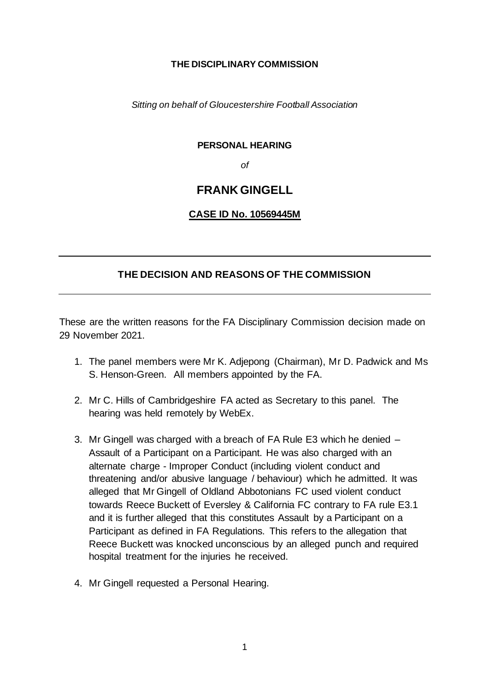#### **THE DISCIPLINARY COMMISSION**

*Sitting on behalf of Gloucestershire Football Association*

### **PERSONAL HEARING**

*of*

# **FRANK GINGELL**

# **CASE ID No. 10569445M**

# **THE DECISION AND REASONS OF THE COMMISSION**

These are the written reasons for the FA Disciplinary Commission decision made on 29 November 2021.

- 1. The panel members were Mr K. Adjepong (Chairman), Mr D. Padwick and Ms S. Henson-Green. All members appointed by the FA.
- 2. Mr C. Hills of Cambridgeshire FA acted as Secretary to this panel. The hearing was held remotely by WebEx.
- 3. Mr Gingell was charged with a breach of FA Rule E3 which he denied Assault of a Participant on a Participant. He was also charged with an alternate charge - Improper Conduct (including violent conduct and threatening and/or abusive language / behaviour) which he admitted. It was alleged that Mr Gingell of Oldland Abbotonians FC used violent conduct towards Reece Buckett of Eversley & California FC contrary to FA rule E3.1 and it is further alleged that this constitutes Assault by a Participant on a Participant as defined in FA Regulations. This refers to the allegation that Reece Buckett was knocked unconscious by an alleged punch and required hospital treatment for the injuries he received.
- 4. Mr Gingell requested a Personal Hearing.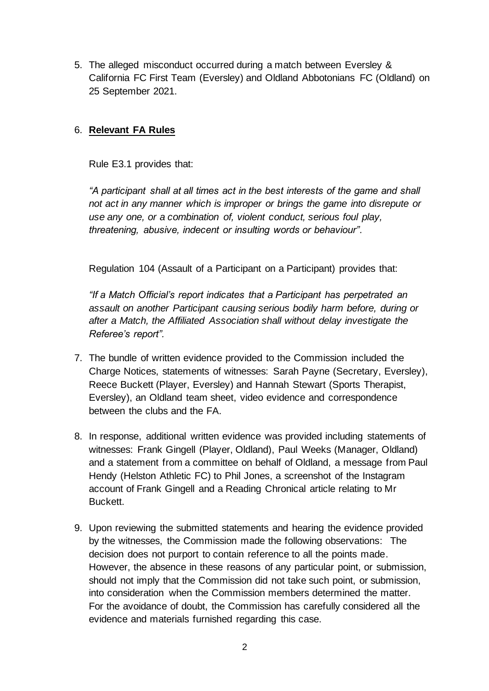5. The alleged misconduct occurred during a match between Eversley & California FC First Team (Eversley) and Oldland Abbotonians FC (Oldland) on 25 September 2021.

# 6. **Relevant FA Rules**

Rule E3.1 provides that:

*"A participant shall at all times act in the best interests of the game and shall not act in any manner which is improper or brings the game into disrepute or use any one, or a combination of, violent conduct, serious foul play, threatening, abusive, indecent or insulting words or behaviour".*

Regulation 104 (Assault of a Participant on a Participant) provides that:

*"If a Match Official's report indicates that a Participant has perpetrated an assault on another Participant causing serious bodily harm before, during or after a Match, the Affiliated Association shall without delay investigate the Referee's report".* 

- 7. The bundle of written evidence provided to the Commission included the Charge Notices, statements of witnesses: Sarah Payne (Secretary, Eversley), Reece Buckett (Player, Eversley) and Hannah Stewart (Sports Therapist, Eversley), an Oldland team sheet, video evidence and correspondence between the clubs and the FA.
- 8. In response, additional written evidence was provided including statements of witnesses: Frank Gingell (Player, Oldland), Paul Weeks (Manager, Oldland) and a statement from a committee on behalf of Oldland, a message from Paul Hendy (Helston Athletic FC) to Phil Jones, a screenshot of the Instagram account of Frank Gingell and a Reading Chronical article relating to Mr Buckett.
- 9. Upon reviewing the submitted statements and hearing the evidence provided by the witnesses, the Commission made the following observations: The decision does not purport to contain reference to all the points made. However, the absence in these reasons of any particular point, or submission, should not imply that the Commission did not take such point, or submission, into consideration when the Commission members determined the matter. For the avoidance of doubt, the Commission has carefully considered all the evidence and materials furnished regarding this case.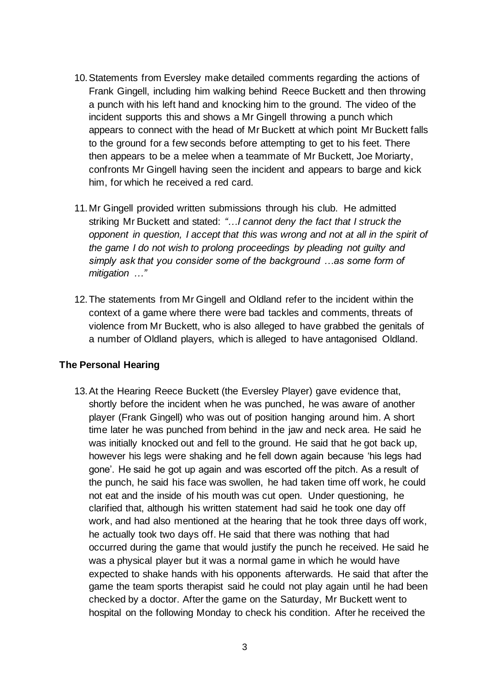- 10.Statements from Eversley make detailed comments regarding the actions of Frank Gingell, including him walking behind Reece Buckett and then throwing a punch with his left hand and knocking him to the ground. The video of the incident supports this and shows a Mr Gingell throwing a punch which appears to connect with the head of Mr Buckett at which point Mr Buckett falls to the ground for a few seconds before attempting to get to his feet. There then appears to be a melee when a teammate of Mr Buckett, Joe Moriarty, confronts Mr Gingell having seen the incident and appears to barge and kick him, for which he received a red card.
- 11.Mr Gingell provided written submissions through his club. He admitted striking Mr Buckett and stated: *"…I cannot deny the fact that I struck the opponent in question, I accept that this was wrong and not at all in the spirit of the game I do not wish to prolong proceedings by pleading not guilty and simply ask that you consider some of the background …as some form of mitigation …"*
- 12.The statements from Mr Gingell and Oldland refer to the incident within the context of a game where there were bad tackles and comments, threats of violence from Mr Buckett, who is also alleged to have grabbed the genitals of a number of Oldland players, which is alleged to have antagonised Oldland.

### **The Personal Hearing**

13.At the Hearing Reece Buckett (the Eversley Player) gave evidence that, shortly before the incident when he was punched, he was aware of another player (Frank Gingell) who was out of position hanging around him. A short time later he was punched from behind in the jaw and neck area. He said he was initially knocked out and fell to the ground. He said that he got back up, however his legs were shaking and he fell down again because 'his legs had gone'. He said he got up again and was escorted off the pitch. As a result of the punch, he said his face was swollen, he had taken time off work, he could not eat and the inside of his mouth was cut open. Under questioning, he clarified that, although his written statement had said he took one day off work, and had also mentioned at the hearing that he took three days off work, he actually took two days off. He said that there was nothing that had occurred during the game that would justify the punch he received. He said he was a physical player but it was a normal game in which he would have expected to shake hands with his opponents afterwards. He said that after the game the team sports therapist said he could not play again until he had been checked by a doctor. After the game on the Saturday, Mr Buckett went to hospital on the following Monday to check his condition. After he received the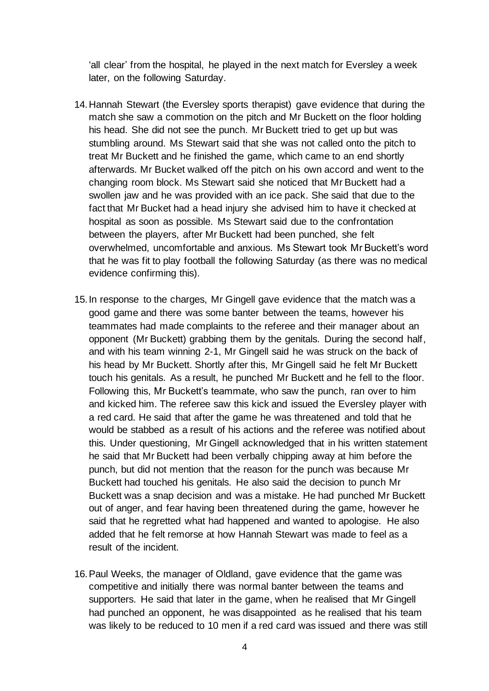'all clear' from the hospital, he played in the next match for Eversley a week later, on the following Saturday.

- 14.Hannah Stewart (the Eversley sports therapist) gave evidence that during the match she saw a commotion on the pitch and Mr Buckett on the floor holding his head. She did not see the punch. Mr Buckett tried to get up but was stumbling around. Ms Stewart said that she was not called onto the pitch to treat Mr Buckett and he finished the game, which came to an end shortly afterwards. Mr Bucket walked off the pitch on his own accord and went to the changing room block. Ms Stewart said she noticed that Mr Buckett had a swollen jaw and he was provided with an ice pack. She said that due to the fact that Mr Bucket had a head injury she advised him to have it checked at hospital as soon as possible. Ms Stewart said due to the confrontation between the players, after Mr Buckett had been punched, she felt overwhelmed, uncomfortable and anxious. Ms Stewart took Mr Buckett's word that he was fit to play football the following Saturday (as there was no medical evidence confirming this).
- 15.In response to the charges, Mr Gingell gave evidence that the match was a good game and there was some banter between the teams, however his teammates had made complaints to the referee and their manager about an opponent (Mr Buckett) grabbing them by the genitals. During the second half, and with his team winning 2-1, Mr Gingell said he was struck on the back of his head by Mr Buckett. Shortly after this, Mr Gingell said he felt Mr Buckett touch his genitals. As a result, he punched Mr Buckett and he fell to the floor. Following this, Mr Buckett's teammate, who saw the punch, ran over to him and kicked him. The referee saw this kick and issued the Eversley player with a red card. He said that after the game he was threatened and told that he would be stabbed as a result of his actions and the referee was notified about this. Under questioning, Mr Gingell acknowledged that in his written statement he said that Mr Buckett had been verbally chipping away at him before the punch, but did not mention that the reason for the punch was because Mr Buckett had touched his genitals. He also said the decision to punch Mr Buckett was a snap decision and was a mistake. He had punched Mr Buckett out of anger, and fear having been threatened during the game, however he said that he regretted what had happened and wanted to apologise. He also added that he felt remorse at how Hannah Stewart was made to feel as a result of the incident.
- 16.Paul Weeks, the manager of Oldland, gave evidence that the game was competitive and initially there was normal banter between the teams and supporters. He said that later in the game, when he realised that Mr Gingell had punched an opponent, he was disappointed as he realised that his team was likely to be reduced to 10 men if a red card was issued and there was still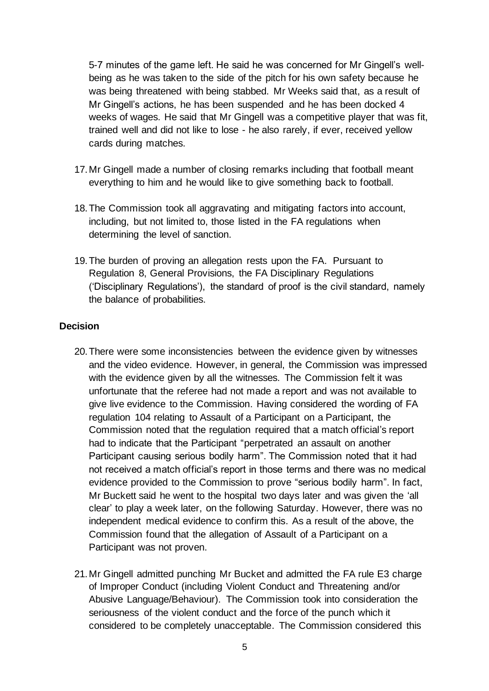5-7 minutes of the game left. He said he was concerned for Mr Gingell's wellbeing as he was taken to the side of the pitch for his own safety because he was being threatened with being stabbed. Mr Weeks said that, as a result of Mr Gingell's actions, he has been suspended and he has been docked 4 weeks of wages. He said that Mr Gingell was a competitive player that was fit, trained well and did not like to lose - he also rarely, if ever, received yellow cards during matches.

- 17.Mr Gingell made a number of closing remarks including that football meant everything to him and he would like to give something back to football.
- 18.The Commission took all aggravating and mitigating factors into account, including, but not limited to, those listed in the FA regulations when determining the level of sanction.
- 19.The burden of proving an allegation rests upon the FA. Pursuant to Regulation 8, General Provisions, the FA Disciplinary Regulations ('Disciplinary Regulations'), the standard of proof is the civil standard, namely the balance of probabilities.

### **Decision**

- 20.There were some inconsistencies between the evidence given by witnesses and the video evidence. However, in general, the Commission was impressed with the evidence given by all the witnesses. The Commission felt it was unfortunate that the referee had not made a report and was not available to give live evidence to the Commission. Having considered the wording of FA regulation 104 relating to Assault of a Participant on a Participant, the Commission noted that the regulation required that a match official's report had to indicate that the Participant "perpetrated an assault on another Participant causing serious bodily harm". The Commission noted that it had not received a match official's report in those terms and there was no medical evidence provided to the Commission to prove "serious bodily harm". In fact, Mr Buckett said he went to the hospital two days later and was given the 'all clear' to play a week later, on the following Saturday. However, there was no independent medical evidence to confirm this. As a result of the above, the Commission found that the allegation of Assault of a Participant on a Participant was not proven.
- 21.Mr Gingell admitted punching Mr Bucket and admitted the FA rule E3 charge of Improper Conduct (including Violent Conduct and Threatening and/or Abusive Language/Behaviour). The Commission took into consideration the seriousness of the violent conduct and the force of the punch which it considered to be completely unacceptable. The Commission considered this